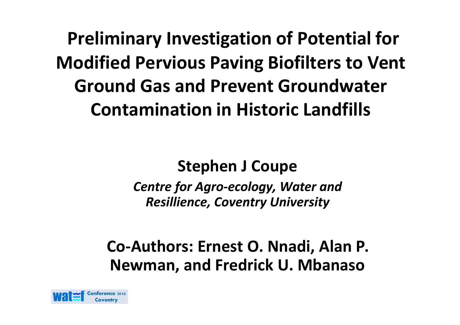**Preliminary Investigation of Potential for Modified Pervious Paving Biofilters to Vent Ground Gas and Prevent Groundwater Contamination in Historic Landfills** 

#### **Stephen J Coupe**

*Centre for Agro-ecology, Water and Resillience, Coventry University*

#### **Co-Authors: Ernest O. Nnadi, Alan P. Newman, and Fredrick U. Mbanaso**

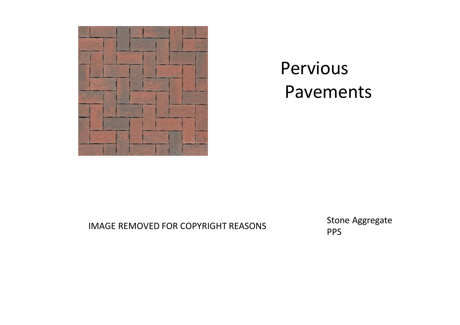

#### Pervious Pavements

#### IMAGE REMOVED FOR COPYRIGHT REASONS PPS

Stone Aggregate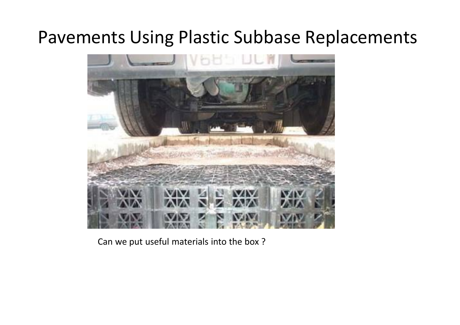#### Pavements Using Plastic Subbase Replacements



Can we put useful materials into the box ?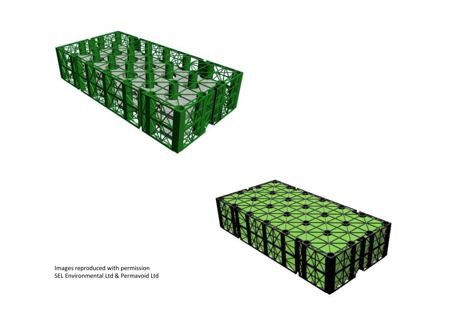



Images reproduced with permission SEL Environmental Ltd & Permavoid Ltd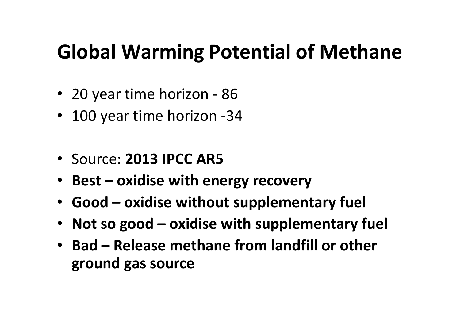#### **Global Warming Potential of Methane**

- 20 year time horizon 86
- 100 year time horizon -34
- Source: **2013 IPCC AR5**
- **Best – oxidise with energy recovery**
- **Good – oxidise without supplementary fuel**
- **Not so good – oxidise with supplementary fuel**
- **Bad – Release methane from landfill or other ground gas source**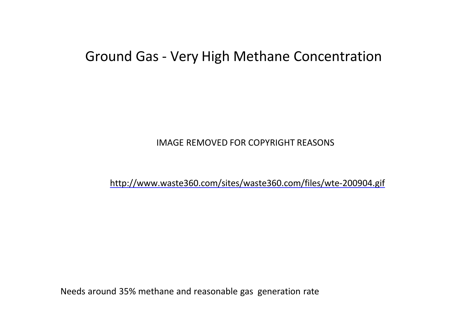#### Ground Gas - Very High Methane Concentration

IMAGE REMOVED FOR COPYRIGHT REASONS

<http://www.waste360.com/sites/waste360.com/files/wte-200904.gif>

Needs around 35% methane and reasonable gas generation rate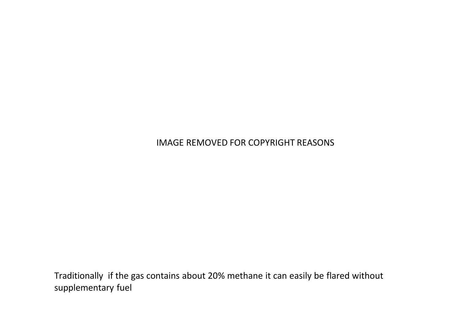IMAGE REMOVED FOR COPYRIGHT REASONS

Traditionally if the gas contains about 20% methane it can easily be flared without supplementary fuel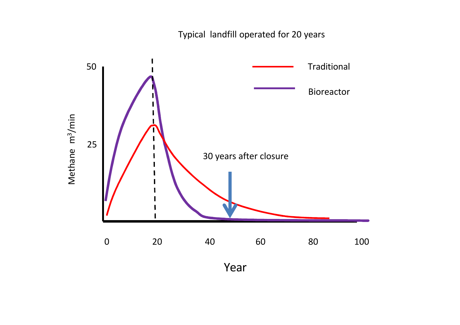Typical landfill operated for 20 years

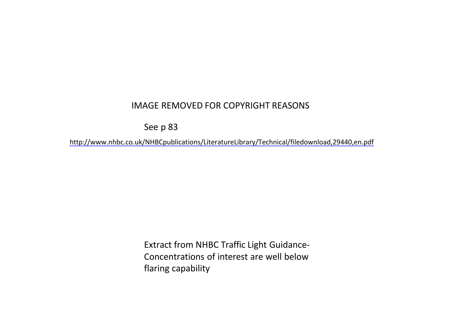#### IMAGE REMOVED FOR COPYRIGHT REASONS

See p 83

[http://www.nhbc.co.uk/NHBCpublications/LiteratureLibrary/Technical/filedownload,29440,en.pdf](http://www.nhbc.co.uk/NHBCpublications/LiteratureLibrary/Technical/filedownload)

Extract from NHBC Traffic Light Guidance-Concentrations of interest are well below flaring capability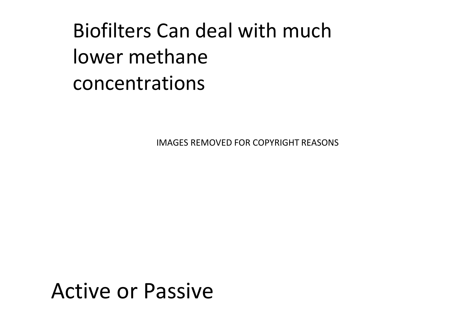## Biofilters Can deal with much lower methane concentrations

IMAGES REMOVED FOR COPYRIGHT REASONS

Active or Passive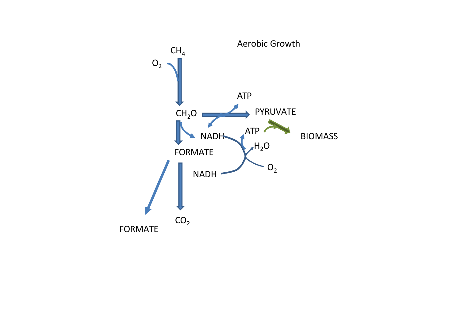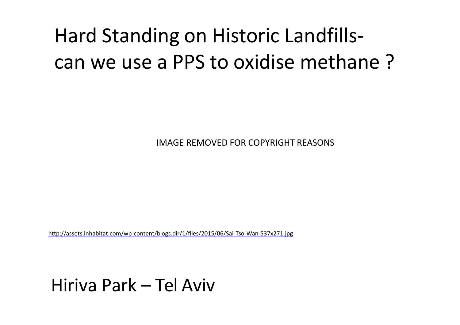## Hard Standing on Historic Landfillscan we use a PPS to oxidise methane ?

IMAGE REMOVED FOR COPYRIGHT REASONS

<http://assets.inhabitat.com/wp-content/blogs.dir/1/files/2015/06/Sai-Tso-Wan-537x271.jpg>

#### Hiriva Park – Tel Aviv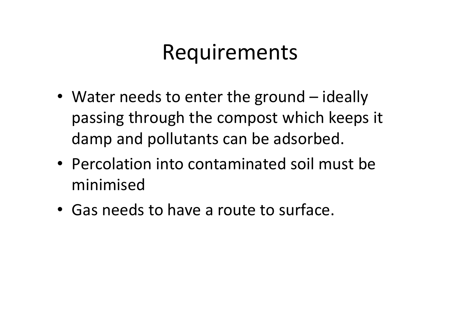## Requirements

- Water needs to enter the ground ideally passing through the compost which keeps it damp and pollutants can be adsorbed.
- Percolation into contaminated soil must be minimised
- Gas needs to have a route to surface.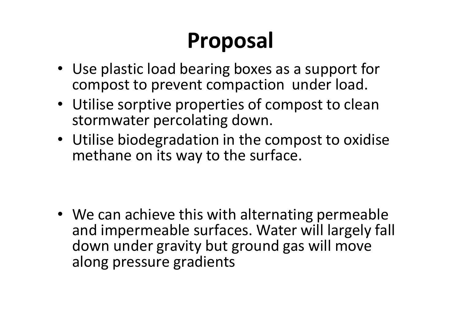# **Proposal**

- Use plastic load bearing boxes as a support for compost to prevent compaction under load.
- Utilise sorptive properties of compost to clean stormwater percolating down.
- Utilise biodegradation in the compost to oxidise methane on its way to the surface.

• We can achieve this with alternating permeable and impermeable surfaces. Water will largely fall down under gravity but ground gas will move along pressure gradients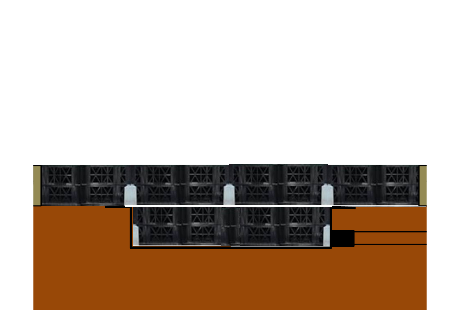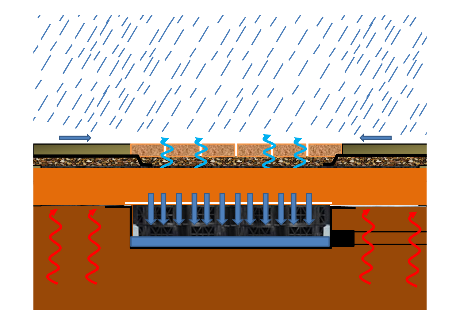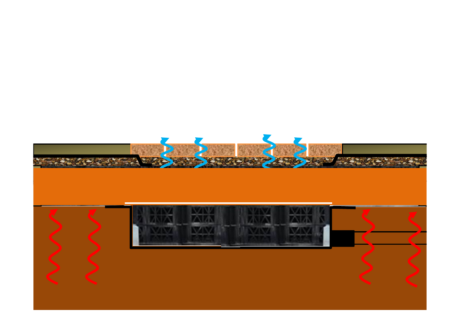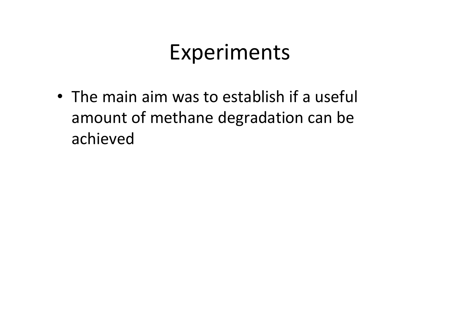## Experiments

• The main aim was to establish if a useful amount of methane degradation can be achieved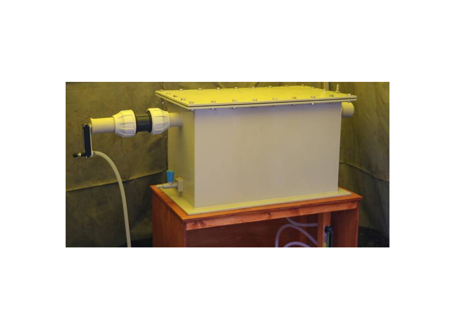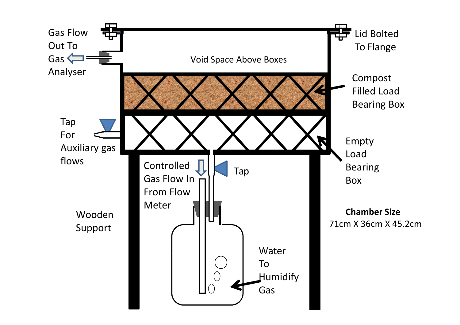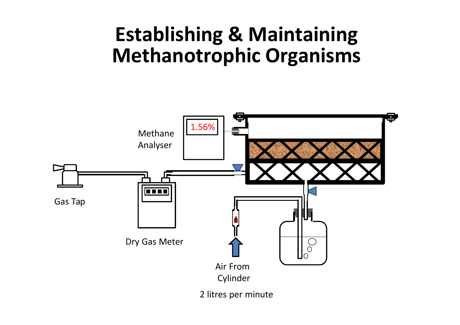#### **Establishing & Maintaining Methanotrophic Organisms**

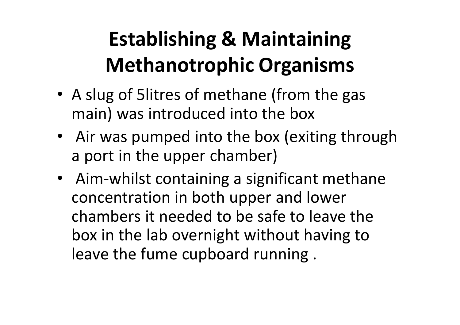# **Establishing & Maintaining Methanotrophic Organisms**

- A slug of 5 litres of methane (from the gas main) was introduced into the box
- Air was pumped into the box (exiting through a port in the upper chamber)
- Aim-whilst containing a significant methane concentration in both upper and lower chambers it needed to be safe to leave the box in the lab overnight without having to leave the fume cupboard running .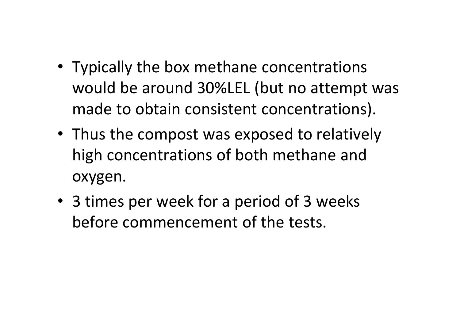- Typically the box methane concentrations would be around 30%LEL (but no attempt was made to obtain consistent concentrations).
- Thus the compost was exposed to relatively high concentrations of both methane and oxygen.
- 3 times per week for a period of 3 weeks before commencement of the tests.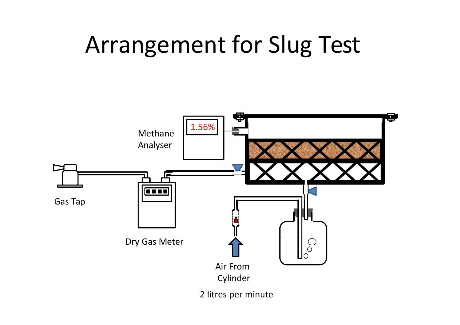# Arrangement for Slug Test

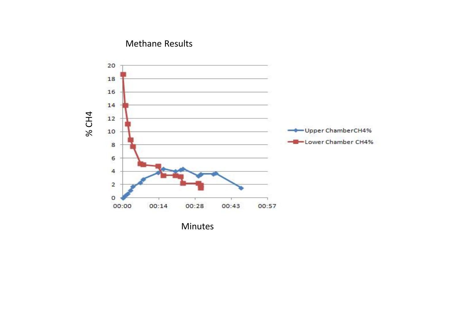

**Methane Results** 

Minutes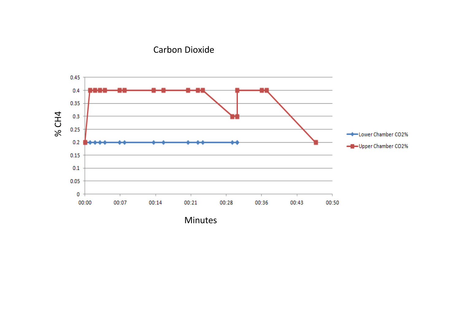#### Carbon Dioxide

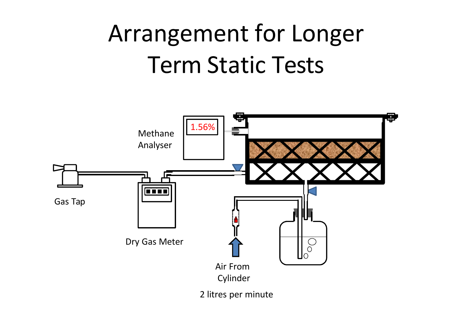# Arrangement for Longer Term Static Tests

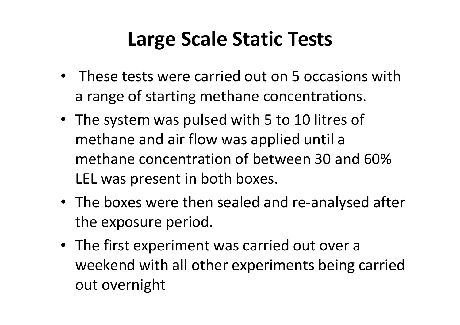## **Large Scale Static Tests**

- These tests were carried out on 5 occasions with a range of starting methane concentrations.
- The system was pulsed with 5 to 10 litres of methane and air flow was applied until a methane concentration of between 30 and 60% LEL was present in both boxes.
- The boxes were then sealed and re-analysed after the exposure period.
- The first experiment was carried out over a weekend with all other experiments being carried out overnight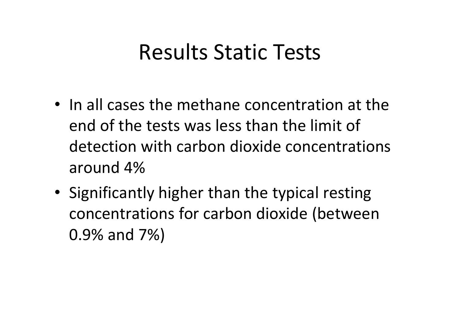### Results Static Tests

- In all cases the methane concentration at the end of the tests was less than the limit of detection with carbon dioxide concentrations around 4%
- Significantly higher than the typical resting concentrations for carbon dioxide (between 0.9% and 7%)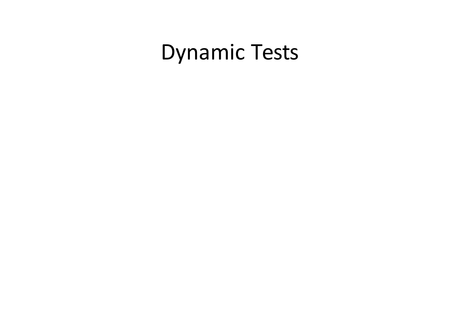## Dynamic Tests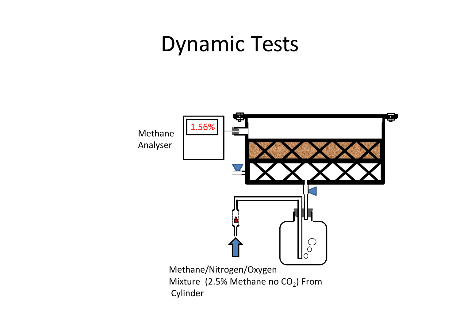## Dynamic Tests

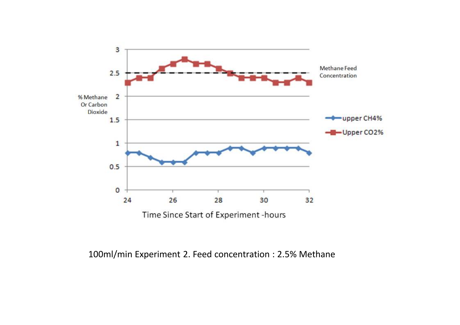

Time Since Start of Experiment -hours

100ml/min Experiment 2. Feed concentration : 2.5% Methane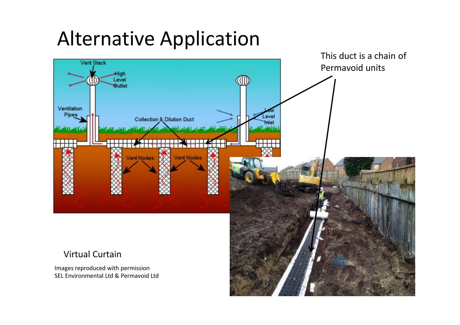## Alternative Application

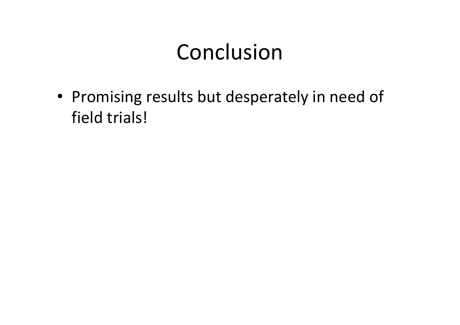# Conclusion

• Promising results but desperately in need of field trials!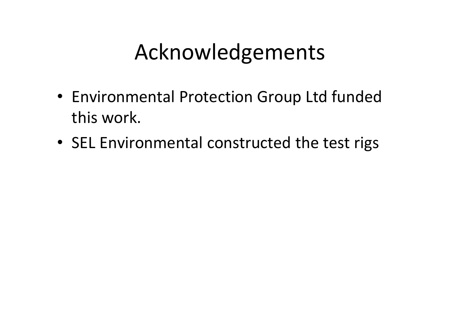# Acknowledgements

- Environmental Protection Group Ltd funded this work.
- SEL Environmental constructed the test rigs